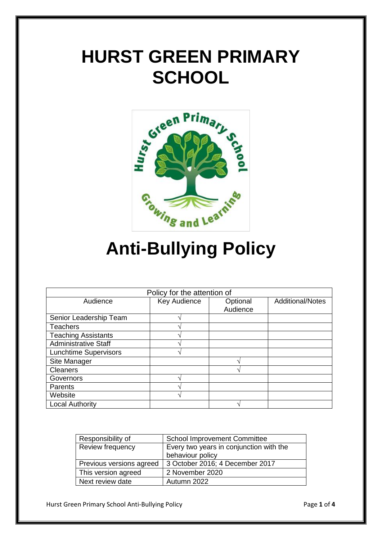# **HURST GREEN PRIMARY SCHOOL**



# **Anti-Bullying Policy**

| Policy for the attention of  |              |          |                         |
|------------------------------|--------------|----------|-------------------------|
| Audience                     | Key Audience | Optional | <b>Additional/Notes</b> |
|                              |              | Audience |                         |
| Senior Leadership Team       |              |          |                         |
| <b>Teachers</b>              |              |          |                         |
| <b>Teaching Assistants</b>   |              |          |                         |
| <b>Administrative Staff</b>  |              |          |                         |
| <b>Lunchtime Supervisors</b> |              |          |                         |
| Site Manager                 |              |          |                         |
| <b>Cleaners</b>              |              |          |                         |
| Governors                    |              |          |                         |
| Parents                      |              |          |                         |
| Website                      |              |          |                         |
| <b>Local Authority</b>       |              |          |                         |

| Responsibility of        | <b>School Improvement Committee</b>     |  |
|--------------------------|-----------------------------------------|--|
| Review frequency         | Every two years in conjunction with the |  |
|                          | behaviour policy                        |  |
| Previous versions agreed | 3 October 2016; 4 December 2017         |  |
| This version agreed      | 2 November 2020                         |  |
| Next review date         | Autumn 2022                             |  |

Hurst Green Primary School Anti-Bullying Policy **Page 1** of 4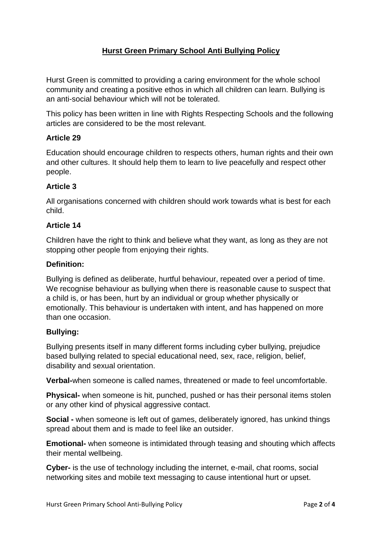## **Hurst Green Primary School Anti Bullying Policy**

Hurst Green is committed to providing a caring environment for the whole school community and creating a positive ethos in which all children can learn. Bullying is an anti-social behaviour which will not be tolerated.

This policy has been written in line with Rights Respecting Schools and the following articles are considered to be the most relevant.

### **Article 29**

Education should encourage children to respects others, human rights and their own and other cultures. It should help them to learn to live peacefully and respect other people.

### **Article 3**

All organisations concerned with children should work towards what is best for each child.

### **Article 14**

Children have the right to think and believe what they want, as long as they are not stopping other people from enjoying their rights.

#### **Definition:**

Bullying is defined as deliberate, hurtful behaviour, repeated over a period of time. We recognise behaviour as bullying when there is reasonable cause to suspect that a child is, or has been, hurt by an individual or group whether physically or emotionally. This behaviour is undertaken with intent, and has happened on more than one occasion.

### **Bullying:**

Bullying presents itself in many different forms including cyber bullying, prejudice based bullying related to special educational need, sex, race, religion, belief, disability and sexual orientation.

**Verbal-**when someone is called names, threatened or made to feel uncomfortable.

**Physical-** when someone is hit, punched, pushed or has their personal items stolen or any other kind of physical aggressive contact.

**Social -** when someone is left out of games, deliberately ignored, has unkind things spread about them and is made to feel like an outsider.

**Emotional-** when someone is intimidated through teasing and shouting which affects their mental wellbeing.

**Cyber-** is the use of technology including the internet, e-mail, chat rooms, social networking sites and mobile text messaging to cause intentional hurt or upset.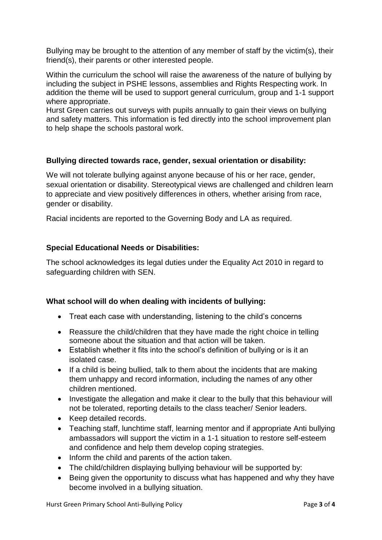Bullying may be brought to the attention of any member of staff by the victim(s), their friend(s), their parents or other interested people.

Within the curriculum the school will raise the awareness of the nature of bullying by including the subject in PSHE lessons, assemblies and Rights Respecting work. In addition the theme will be used to support general curriculum, group and 1-1 support where appropriate.

Hurst Green carries out surveys with pupils annually to gain their views on bullying and safety matters. This information is fed directly into the school improvement plan to help shape the schools pastoral work.

### **Bullying directed towards race, gender, sexual orientation or disability:**

We will not tolerate bullying against anyone because of his or her race, gender, sexual orientation or disability. Stereotypical views are challenged and children learn to appreciate and view positively differences in others, whether arising from race, gender or disability.

Racial incidents are reported to the Governing Body and LA as required.

### **Special Educational Needs or Disabilities:**

The school acknowledges its legal duties under the Equality Act 2010 in regard to safeguarding children with SEN.

### **What school will do when dealing with incidents of bullying:**

- Treat each case with understanding, listening to the child's concerns
- Reassure the child/children that they have made the right choice in telling someone about the situation and that action will be taken.
- Establish whether it fits into the school's definition of bullying or is it an isolated case.
- If a child is being bullied, talk to them about the incidents that are making them unhappy and record information, including the names of any other children mentioned.
- Investigate the allegation and make it clear to the bully that this behaviour will not be tolerated, reporting details to the class teacher/ Senior leaders.
- Keep detailed records.
- Teaching staff, lunchtime staff, learning mentor and if appropriate Anti bullying ambassadors will support the victim in a 1-1 situation to restore self-esteem and confidence and help them develop coping strategies.
- Inform the child and parents of the action taken.
- The child/children displaying bullying behaviour will be supported by:
- Being given the opportunity to discuss what has happened and why they have become involved in a bullying situation.